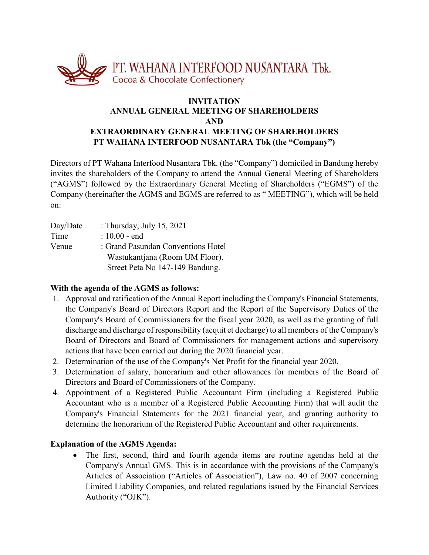

# **INVITATION ANNUAL GENERAL MEETING OF SHAREHOLDERS AND EXTRAORDINARY GENERAL MEETING OF SHAREHOLDERS PT WAHANA INTERFOOD NUSANTARA Tbk (the "Company")**

Directors of PT Wahana Interfood Nusantara Tbk. (the "Company") domiciled in Bandung hereby invites the shareholders of the Company to attend the Annual General Meeting of Shareholders ("AGMS") followed by the Extraordinary General Meeting of Shareholders ("EGMS") of the Company (hereinafter the AGMS and EGMS are referred to as " MEETING"), which will be held on:

| Day/Date | : Thursday, July 15, 2021          |
|----------|------------------------------------|
| Time     | $: 10.00 - end$                    |
| Venue    | : Grand Pasundan Conventions Hotel |
|          | Wastukantjana (Room UM Floor).     |
|          | Street Peta No 147-149 Bandung.    |

## **With the agenda of the AGMS as follows:**

- 1. Approval and ratification of the Annual Report including the Company's Financial Statements, the Company's Board of Directors Report and the Report of the Supervisory Duties of the Company's Board of Commissioners for the fiscal year 2020, as well as the granting of full discharge and discharge of responsibility (acquit et decharge) to all members of the Company's Board of Directors and Board of Commissioners for management actions and supervisory actions that have been carried out during the 2020 financial year.
- 2. Determination of the use of the Company's Net Profit for the financial year 2020.
- 3. Determination of salary, honorarium and other allowances for members of the Board of Directors and Board of Commissioners of the Company.
- 4. Appointment of a Registered Public Accountant Firm (including a Registered Public Accountant who is a member of a Registered Public Accounting Firm) that will audit the Company's Financial Statements for the 2021 financial year, and granting authority to determine the honorarium of the Registered Public Accountant and other requirements.

## **Explanation of the AGMS Agenda:**

 The first, second, third and fourth agenda items are routine agendas held at the Company's Annual GMS. This is in accordance with the provisions of the Company's Articles of Association ("Articles of Association"), Law no. 40 of 2007 concerning Limited Liability Companies, and related regulations issued by the Financial Services Authority ("OJK").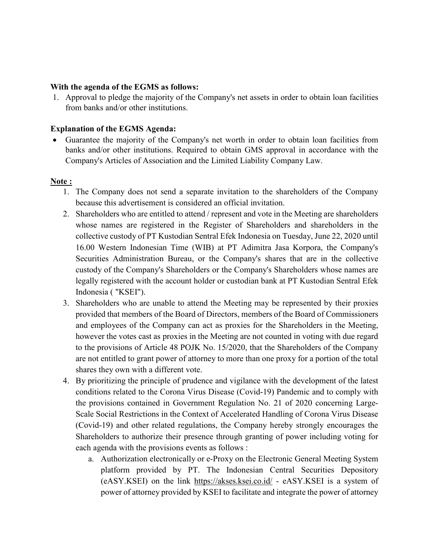### **With the agenda of the EGMS as follows:**

1. Approval to pledge the majority of the Company's net assets in order to obtain loan facilities from banks and/or other institutions.

## **Explanation of the EGMS Agenda:**

 Guarantee the majority of the Company's net worth in order to obtain loan facilities from banks and/or other institutions. Required to obtain GMS approval in accordance with the Company's Articles of Association and the Limited Liability Company Law.

## **Note :**

- 1. The Company does not send a separate invitation to the shareholders of the Company because this advertisement is considered an official invitation.
- 2. Shareholders who are entitled to attend / represent and vote in the Meeting are shareholders whose names are registered in the Register of Shareholders and shareholders in the collective custody of PT Kustodian Sentral Efek Indonesia on Tuesday, June 22, 2020 until 16.00 Western Indonesian Time (WIB) at PT Adimitra Jasa Korpora, the Company's Securities Administration Bureau, or the Company's shares that are in the collective custody of the Company's Shareholders or the Company's Shareholders whose names are legally registered with the account holder or custodian bank at PT Kustodian Sentral Efek Indonesia ( "KSEI").
- 3. Shareholders who are unable to attend the Meeting may be represented by their proxies provided that members of the Board of Directors, members of the Board of Commissioners and employees of the Company can act as proxies for the Shareholders in the Meeting, however the votes cast as proxies in the Meeting are not counted in voting with due regard to the provisions of Article 48 POJK No. 15/2020, that the Shareholders of the Company are not entitled to grant power of attorney to more than one proxy for a portion of the total shares they own with a different vote.
- 4. By prioritizing the principle of prudence and vigilance with the development of the latest conditions related to the Corona Virus Disease (Covid-19) Pandemic and to comply with the provisions contained in Government Regulation No. 21 of 2020 concerning Large-Scale Social Restrictions in the Context of Accelerated Handling of Corona Virus Disease (Covid-19) and other related regulations, the Company hereby strongly encourages the Shareholders to authorize their presence through granting of power including voting for each agenda with the provisions events as follows :
	- a. Authorization electronically or e-Proxy on the Electronic General Meeting System platform provided by PT. The Indonesian Central Securities Depository (eASY.KSEI) on the link https://akses.ksei.co.id/ - eASY.KSEI is a system of power of attorney provided by KSEI to facilitate and integrate the power of attorney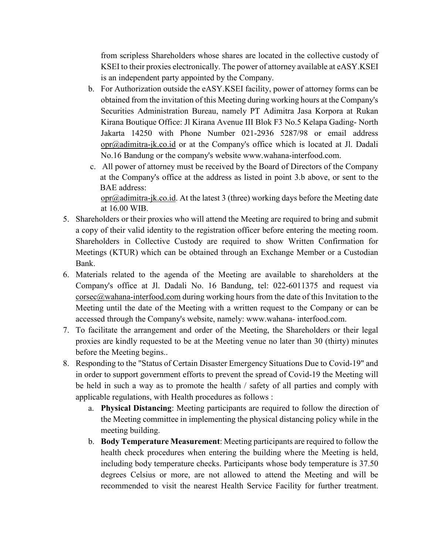from scripless Shareholders whose shares are located in the collective custody of KSEI to their proxies electronically. The power of attorney available at eASY.KSEI is an independent party appointed by the Company.

- b. For Authorization outside the eASY.KSEI facility, power of attorney forms can be obtained from the invitation of this Meeting during working hours at the Company's Securities Administration Bureau, namely PT Adimitra Jasa Korpora at Rukan Kirana Boutique Office: Jl Kirana Avenue III Blok F3 No.5 Kelapa Gading- North Jakarta 14250 with Phone Number 021-2936 5287/98 or email address opr@adimitra-jk.co.id or at the Company's office which is located at Jl. Dadali No.16 Bandung or the company's website www.wahana-interfood.com.
- c. All power of attorney must be received by the Board of Directors of the Company at the Company's office at the address as listed in point 3.b above, or sent to the BAE address:

opr@adimitra-jk.co.id. At the latest 3 (three) working days before the Meeting date at 16.00 WIB.

- 5. Shareholders or their proxies who will attend the Meeting are required to bring and submit a copy of their valid identity to the registration officer before entering the meeting room. Shareholders in Collective Custody are required to show Written Confirmation for Meetings (KTUR) which can be obtained through an Exchange Member or a Custodian Bank.
- 6. Materials related to the agenda of the Meeting are available to shareholders at the Company's office at Jl. Dadali No. 16 Bandung, tel: 022-6011375 and request via  $\csc(a)$  wahana-interfood.com during working hours from the date of this Invitation to the Meeting until the date of the Meeting with a written request to the Company or can be accessed through the Company's website, namely: www.wahana- interfood.com.
- 7. To facilitate the arrangement and order of the Meeting, the Shareholders or their legal proxies are kindly requested to be at the Meeting venue no later than 30 (thirty) minutes before the Meeting begins..
- 8. Responding to the "Status of Certain Disaster Emergency Situations Due to Covid-19" and in order to support government efforts to prevent the spread of Covid-19 the Meeting will be held in such a way as to promote the health / safety of all parties and comply with applicable regulations, with Health procedures as follows :
	- a. **Physical Distancing**: Meeting participants are required to follow the direction of the Meeting committee in implementing the physical distancing policy while in the meeting building.
	- b. **Body Temperature Measurement**: Meeting participants are required to follow the health check procedures when entering the building where the Meeting is held, including body temperature checks. Participants whose body temperature is 37.50 degrees Celsius or more, are not allowed to attend the Meeting and will be recommended to visit the nearest Health Service Facility for further treatment.